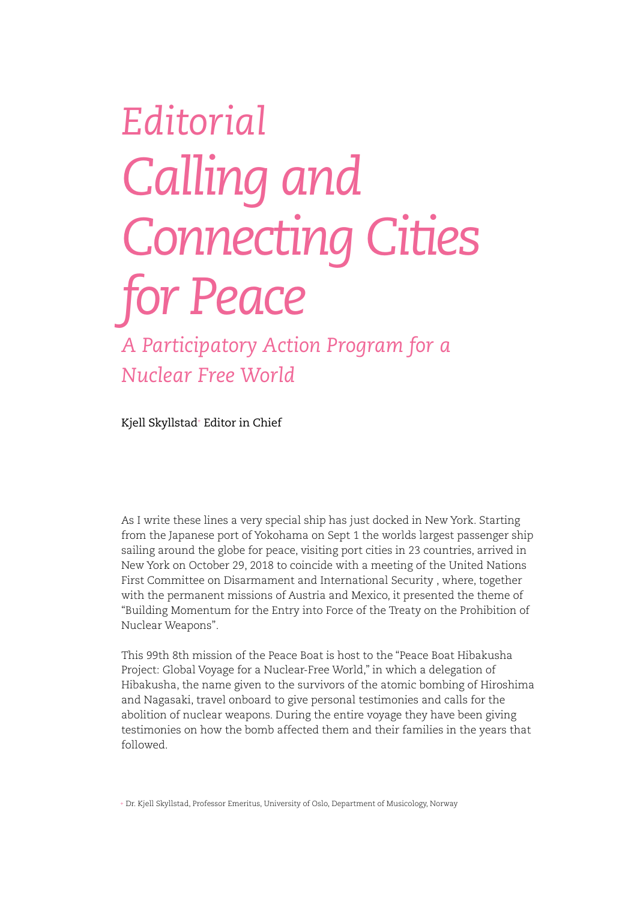## *Editorial Calling and Connecting Cities for Peace*

*A Participatory Action Program for a Nuclear Free World*

Kjell Skyllstad+ Editor in Chief

As I write these lines a very special ship has just docked in New York. Starting from the Japanese port of Yokohama on Sept 1 the worlds largest passenger ship sailing around the globe for peace, visiting port cities in 23 countries, arrived in New York on October 29, 2018 to coincide with a meeting of the United Nations First Committee on Disarmament and International Security , where, together with the permanent missions of Austria and Mexico, it presented the theme of "Building Momentum for the Entry into Force of the Treaty on the Prohibition of Nuclear Weapons".

This 99th 8th mission of the Peace Boat is host to the "Peace Boat Hibakusha Project: Global Voyage for a Nuclear-Free World," in which a delegation of Hibakusha, the name given to the survivors of the atomic bombing of Hiroshima and Nagasaki, travel onboard to give personal testimonies and calls for the abolition of nuclear weapons. During the entire voyage they have been giving testimonies on how the bomb affected them and their families in the years that followed.

+ Dr. Kjell Skyllstad, Professor Emeritus, University of Oslo, Department of Musicology, Norway